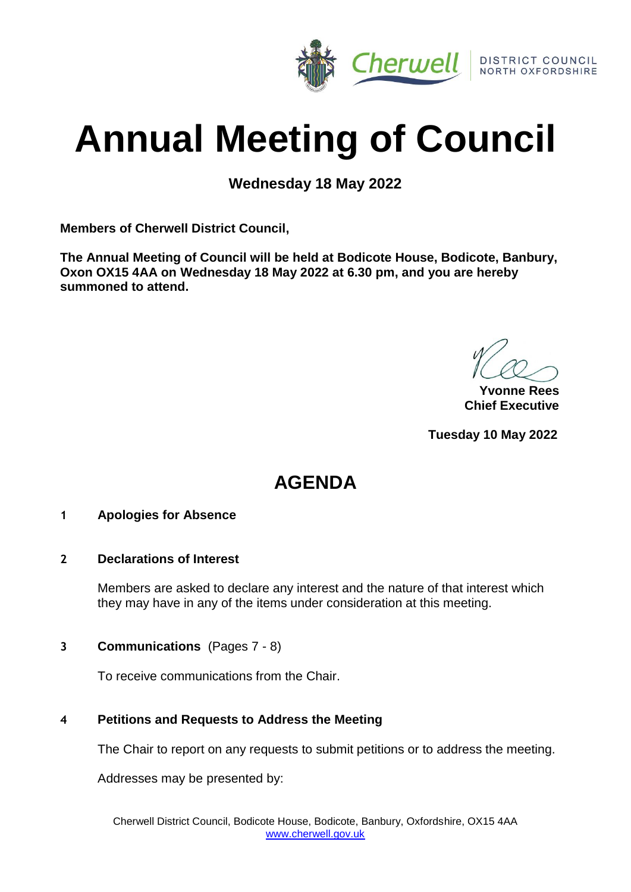

# **Annual Meeting of Council**

**Wednesday 18 May 2022**

**Members of Cherwell District Council,**

**The Annual Meeting of Council will be held at Bodicote House, Bodicote, Banbury, Oxon OX15 4AA on Wednesday 18 May 2022 at 6.30 pm, and you are hereby summoned to attend.**

**Yvonne Rees Chief Executive**

**Tuesday 10 May 2022**

# **AGENDA**

#### **1 Apologies for Absence**

#### **2 Declarations of Interest**

Members are asked to declare any interest and the nature of that interest which they may have in any of the items under consideration at this meeting.

#### **3 Communications** (Pages 7 - 8)

To receive communications from the Chair.

#### **4 Petitions and Requests to Address the Meeting**

The Chair to report on any requests to submit petitions or to address the meeting.

Addresses may be presented by: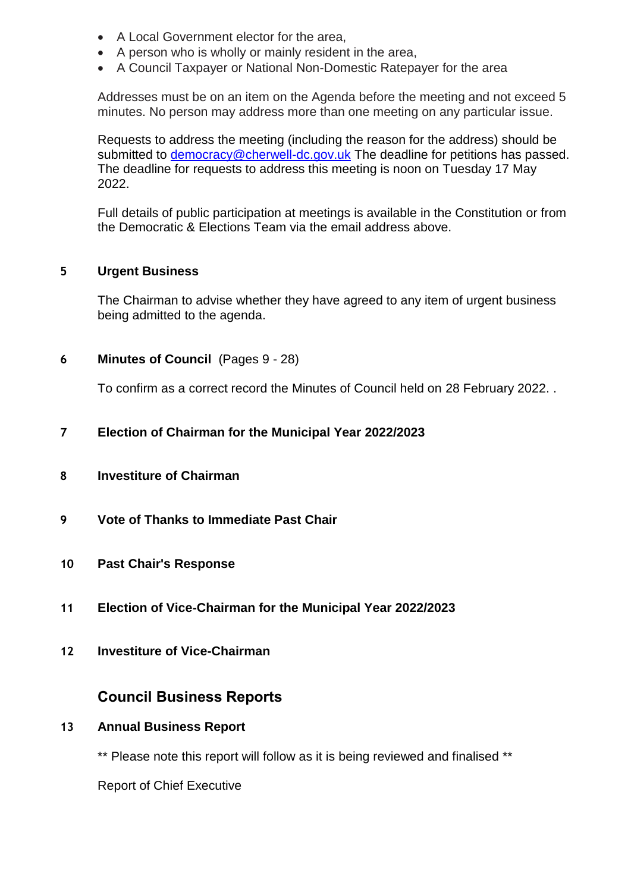- A Local Government elector for the area,
- A person who is wholly or mainly resident in the area,
- A Council Taxpayer or National Non-Domestic Ratepayer for the area

Addresses must be on an item on the Agenda before the meeting and not exceed 5 minutes. No person may address more than one meeting on any particular issue.

Requests to address the meeting (including the reason for the address) should be submitted to [democracy@cherwell-dc.gov.uk](mailto:democracy@cherwellandsouthnorthants.gov.uk) The deadline for petitions has passed. The deadline for requests to address this meeting is noon on Tuesday 17 May 2022.

Full details of public participation at meetings is available in the Constitution or from the Democratic & Elections Team via the email address above.

#### **5 Urgent Business**

The Chairman to advise whether they have agreed to any item of urgent business being admitted to the agenda.

**6 Minutes of Council** (Pages 9 - 28)

To confirm as a correct record the Minutes of Council held on 28 February 2022. .

- **7 Election of Chairman for the Municipal Year 2022/2023**
- **8 Investiture of Chairman**
- **9 Vote of Thanks to Immediate Past Chair**
- **10 Past Chair's Response**
- **11 Election of Vice-Chairman for the Municipal Year 2022/2023**
- **12 Investiture of Vice-Chairman**

#### **Council Business Reports**

#### **13 Annual Business Report**

\*\* Please note this report will follow as it is being reviewed and finalised \*\*

Report of Chief Executive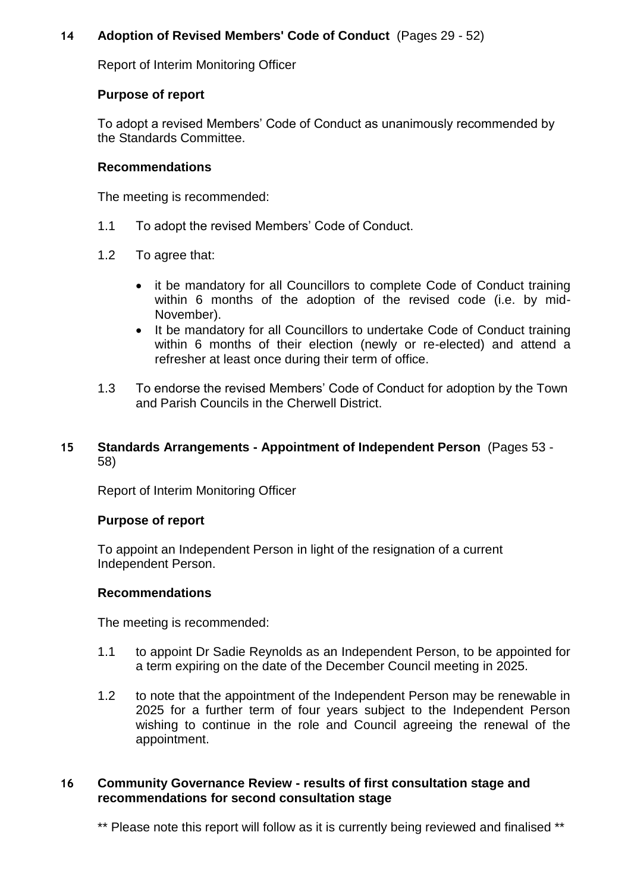#### **14 Adoption of Revised Members' Code of Conduct** (Pages 29 - 52)

Report of Interim Monitoring Officer

#### **Purpose of report**

To adopt a revised Members' Code of Conduct as unanimously recommended by the Standards Committee.

#### **Recommendations**

The meeting is recommended:

- 1.1 To adopt the revised Members' Code of Conduct.
- 1.2 To agree that:
	- it be mandatory for all Councillors to complete Code of Conduct training within 6 months of the adoption of the revised code (i.e. by mid-November).
	- It be mandatory for all Councillors to undertake Code of Conduct training within 6 months of their election (newly or re-elected) and attend a refresher at least once during their term of office.
- 1.3 To endorse the revised Members' Code of Conduct for adoption by the Town and Parish Councils in the Cherwell District.

#### **15 Standards Arrangements - Appointment of Independent Person** (Pages 53 - 58)

Report of Interim Monitoring Officer

#### **Purpose of report**

To appoint an Independent Person in light of the resignation of a current Independent Person.

#### **Recommendations**

The meeting is recommended:

- 1.1 to appoint Dr Sadie Reynolds as an Independent Person, to be appointed for a term expiring on the date of the December Council meeting in 2025.
- 1.2 to note that the appointment of the Independent Person may be renewable in 2025 for a further term of four years subject to the Independent Person wishing to continue in the role and Council agreeing the renewal of the appointment.

#### **16 Community Governance Review - results of first consultation stage and recommendations for second consultation stage**

\*\* Please note this report will follow as it is currently being reviewed and finalised \*\*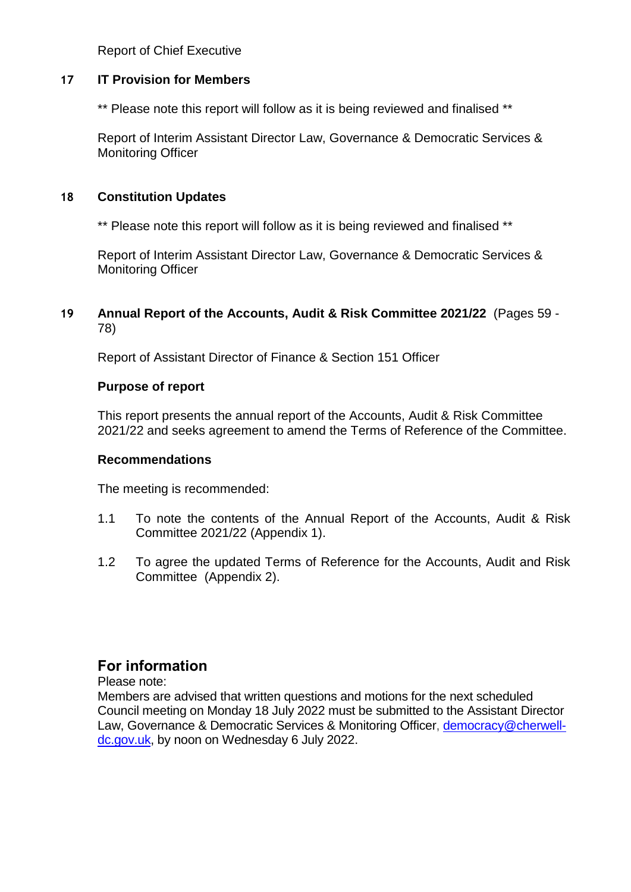Report of Chief Executive

#### **17 IT Provision for Members**

\*\* Please note this report will follow as it is being reviewed and finalised \*\*

Report of Interim Assistant Director Law, Governance & Democratic Services & Monitoring Officer

#### **18 Constitution Updates**

\*\* Please note this report will follow as it is being reviewed and finalised \*\*

Report of Interim Assistant Director Law, Governance & Democratic Services & Monitoring Officer

#### **19 Annual Report of the Accounts, Audit & Risk Committee 2021/22** (Pages 59 - 78)

Report of Assistant Director of Finance & Section 151 Officer

#### **Purpose of report**

This report presents the annual report of the Accounts, Audit & Risk Committee 2021/22 and seeks agreement to amend the Terms of Reference of the Committee.

#### **Recommendations**

The meeting is recommended:

- 1.1 To note the contents of the Annual Report of the Accounts, Audit & Risk Committee 2021/22 (Appendix 1).
- 1.2 To agree the updated Terms of Reference for the Accounts, Audit and Risk Committee (Appendix 2).

## **For information**

Please note:

Members are advised that written questions and motions for the next scheduled Council meeting on Monday 18 July 2022 must be submitted to the Assistant Director Law, Governance & Democratic Services & Monitoring Officer, [democracy@cherwell](mailto:democracy@cherwell-dc.gov.uk)[dc.gov.uk,](mailto:democracy@cherwell-dc.gov.uk) by noon on Wednesday 6 July 2022.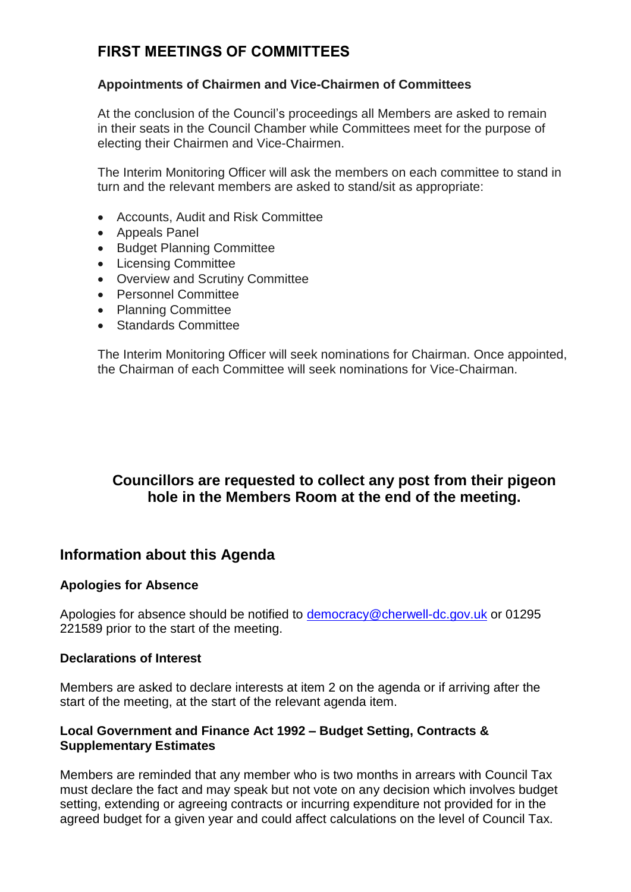# **FIRST MEETINGS OF COMMITTEES**

#### **Appointments of Chairmen and Vice-Chairmen of Committees**

At the conclusion of the Council's proceedings all Members are asked to remain in their seats in the Council Chamber while Committees meet for the purpose of electing their Chairmen and Vice-Chairmen.

The Interim Monitoring Officer will ask the members on each committee to stand in turn and the relevant members are asked to stand/sit as appropriate:

- Accounts, Audit and Risk Committee
- Appeals Panel
- Budget Planning Committee
- Licensing Committee
- Overview and Scrutiny Committee
- Personnel Committee
- Planning Committee
- Standards Committee

The Interim Monitoring Officer will seek nominations for Chairman. Once appointed, the Chairman of each Committee will seek nominations for Vice-Chairman.

# **Councillors are requested to collect any post from their pigeon hole in the Members Room at the end of the meeting.**

## **Information about this Agenda**

#### **Apologies for Absence**

Apologies for absence should be notified to [democracy@cherwell-dc.gov.uk](mailto:democracy@cherwell-dc.gov.uk) or 01295 221589 prior to the start of the meeting.

#### **Declarations of Interest**

Members are asked to declare interests at item 2 on the agenda or if arriving after the start of the meeting, at the start of the relevant agenda item.

#### **Local Government and Finance Act 1992 – Budget Setting, Contracts & Supplementary Estimates**

Members are reminded that any member who is two months in arrears with Council Tax must declare the fact and may speak but not vote on any decision which involves budget setting, extending or agreeing contracts or incurring expenditure not provided for in the agreed budget for a given year and could affect calculations on the level of Council Tax.